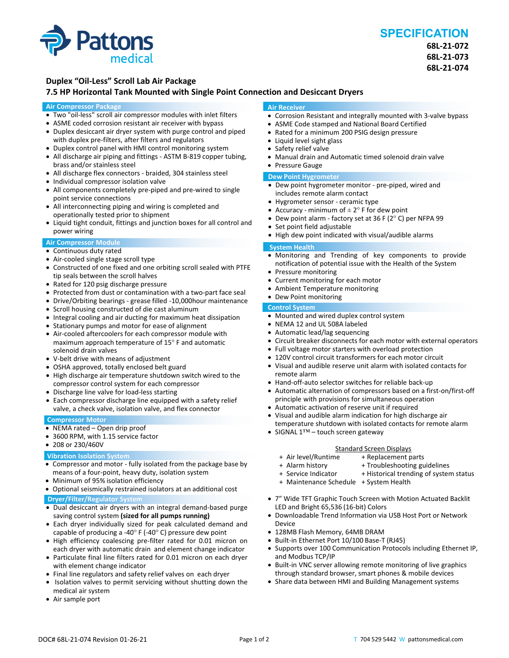

# **SPECIFICATION**

**68L‐21‐072 68L‐21‐073 68L‐21‐074**

## **Duplex "Oil‐Less" Scroll Lab Air Package**

### **7.5 HP Horizontal Tank Mounted with Single Point Connection and Desiccant Dryers**

#### **Air Compressor Package**

- Two "oil-less" scroll air compressor modules with inlet filters
- ASME coded corrosion resistant air receiver with bypass
- Duplex desiccant air dryer system with purge control and piped with duplex pre-filters, after filters and regulators
- Duplex control panel with HMI control monitoring system
- All discharge air piping and fittings ‐ ASTM B‐819 copper tubing, brass and/or stainless steel
- All discharge flex connectors ‐ braided, 304 stainless steel
- Individual compressor isolation valve
- All components completely pre-piped and pre-wired to single point service connections
- All interconnecting piping and wiring is completed and operationally tested prior to shipment
- Liquid tight conduit, fittings and junction boxes for all control and power wiring

#### **Air Compressor Module**

- Continuous duty rated
- Air-cooled single stage scroll type
- Constructed of one fixed and one orbiting scroll sealed with PTFE tip seals between the scroll halves
- Rated for 120 psig discharge pressure
- Protected from dust or contamination with a two-part face seal
- Drive/Orbiting bearings ‐ grease filled ‐10,000hour maintenance
- Scroll housing constructed of die cast aluminum
- Integral cooling and air ducting for maximum heat dissipation
- Stationary pumps and motor for ease of alignment
- Air-cooled aftercoolers for each compressor module with maximum approach temperature of 15° F and automatic solenoid drain valves
- V‐belt drive with means of adjustment
- OSHA approved, totally enclosed belt guard
- High discharge air temperature shutdown switch wired to the compressor control system for each compressor
- Discharge line valve for load-less starting
- Each compressor discharge line equipped with a safety relief valve, a check valve, isolation valve, and flex connector

#### **Compressor Motor**

- NEMA rated Open drip proof
- 3600 RPM, with 1.15 service factor
- 208 or 230/460V

#### **Vibration Isolation System**

- Compressor and motor ‐ fully isolated from the package base by means of a four‐point, heavy duty, isolation system
- Minimum of 95% isolation efficiency
- Optional seismically restrained isolators at an additional cost **Dryer/Filter/Regulator System**
- Dual desiccant air dryers with an integral demand-based purge saving control system **(sized for all pumps running)**
- Each dryer individually sized for peak calculated demand and capable of producing a -40 $\degree$  F (-40 $\degree$  C) pressure dew point
- High efficiency coalescing pre-filter rated for 0.01 micron on each dryer with automatic drain and element change indicator
- Particulate final line filters rated for 0.01 micron on each dryer with element change indicator
- Final line regulators and safety relief valves on each dryer
- Isolation valves to permit servicing without shutting down the medical air system
- Air sample port

#### **Air Receiver**

- Corrosion Resistant and integrally mounted with 3-valve bypass
- ASME Code stamped and National Board Certified
- Rated for a minimum 200 PSIG design pressure
- Liquid level sight glass
- Safety relief valve
- Manual drain and Automatic timed solenoid drain valve

## Pressure Gauge

- **Dew Point Hygrometer**
- Dew point hygrometer monitor pre-piped, wired and includes remote alarm contact
- Hygrometer sensor ‐ ceramic type
- Accuracy minimum of  $\pm 2^{\circ}$  F for dew point
- Dew point alarm ‐ factory set at 36 F (2° C) per NFPA 99
- Set point field adjustable
- High dew point indicated with visual/audible alarms

#### **System Health**

- Monitoring and Trending of key components to provide notification of potential issue with the Health of the System
- Pressure monitoring
- Current monitoring for each motor
- Ambient Temperature monitoring
- Dew Point monitoring

## **Control System**

- Mounted and wired duplex control system
- NEMA 12 and UL 508A labeled
- Automatic lead/lag sequencing
- Circuit breaker disconnects for each motor with external operators
- Full voltage motor starters with overload protection
- 120V control circuit transformers for each motor circuit
- Visual and audible reserve unit alarm with isolated contacts for remote alarm
- Hand-off-auto selector switches for reliable back-up
- Automatic alternation of compressors based on a first-on/first-off principle with provisions for simultaneous operation
- Automatic activation of reserve unit if required
- Visual and audible alarm indication for high discharge air temperature shutdown with isolated contacts for remote alarm
- SIGNAL 1™ touch screen gateway

- Standard Screen Displays<br>Air level/Runtime + Replacement p + + Air level/Runtime + Replacement parts
	-
- 
- 
- + Maintenance Schedule + System Health
- 7" Wide TFT Graphic Touch Screen with Motion Actuated Backlit LED and Bright 65,536 (16‐bit) Colors
- Downloadable Trend Information via USB Host Port or Network Device
- 128MB Flash Memory, 64MB DRAM
- Built-in Ethernet Port 10/100 Base-T (RJ45)
- Supports over 100 Communication Protocols including Ethernet IP, and Modbus TCP/IP
- Built-in VNC server allowing remote monitoring of live graphics through standard browser, smart phones & mobile devices
- Share data between HMI and Building Management systems

+ Troubleshooting guidelines + Service Indicator + Historical trending of system status